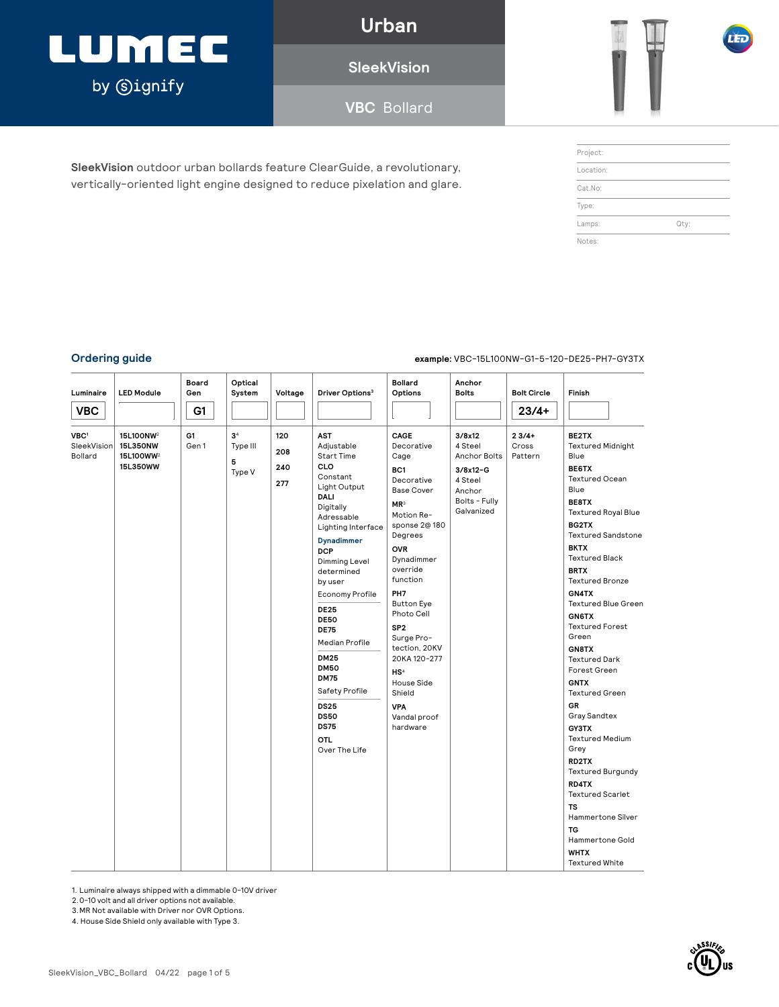### LUMEC by **Signify**

**Urban**

**SleekVision**

**VBC** Bollard

**SleekVision** outdoor urban bollards feature ClearGuide, a revolutionary, vertically-oriented light engine designed to reduce pixelation and glare.

| Project:  |      |
|-----------|------|
| Location: |      |
| Cat.No:   |      |
| Type:     |      |
| Lamps:    | Qty: |
| Notes:    |      |

#### **Ordering guide example:** VBC-15L100NW-G1-5-120-DE25-PH7-GY3TX

| Luminaire<br><b>VBC</b>                    | <b>LED Module</b>                                                      | Board<br>Gen<br>G1 | Optical<br>System                         | Voltage                  | Driver Options <sup>3</sup>                                                                                                                                                                                                                                                                                                                                                                                                                                | <b>Bollard</b><br>Options                                                                                                                                                                                                                                                                                                                                                                          | Anchor<br><b>Bolts</b>                                                                                     | <b>Bolt Circle</b><br>$23/4+$ | Finish                                                                                                                                                                                                                                                                                                                                                                                                                                                                                                                                                                                                                                                                                                        |
|--------------------------------------------|------------------------------------------------------------------------|--------------------|-------------------------------------------|--------------------------|------------------------------------------------------------------------------------------------------------------------------------------------------------------------------------------------------------------------------------------------------------------------------------------------------------------------------------------------------------------------------------------------------------------------------------------------------------|----------------------------------------------------------------------------------------------------------------------------------------------------------------------------------------------------------------------------------------------------------------------------------------------------------------------------------------------------------------------------------------------------|------------------------------------------------------------------------------------------------------------|-------------------------------|---------------------------------------------------------------------------------------------------------------------------------------------------------------------------------------------------------------------------------------------------------------------------------------------------------------------------------------------------------------------------------------------------------------------------------------------------------------------------------------------------------------------------------------------------------------------------------------------------------------------------------------------------------------------------------------------------------------|
| VBC <sup>1</sup><br>SleekVision<br>Bollard | 15L100NW <sup>2</sup><br>15L350NW<br>15L100WW <sup>2</sup><br>15L350WW | G1<br>Gen 1        | 3 <sup>4</sup><br>Type III<br>5<br>Type V | 120<br>208<br>240<br>277 | <b>AST</b><br>Adjustable<br><b>Start Time</b><br><b>CLO</b><br>Constant<br>Light Output<br>DALI<br>Digitally<br>Adressable<br>Lighting Interface<br><b>Dynadimmer</b><br><b>DCP</b><br>Dimming Level<br>determined<br>by user<br>Economy Profile<br><b>DE25</b><br><b>DE50</b><br><b>DE75</b><br>Median Profile<br><b>DM25</b><br><b>DM50</b><br><b>DM75</b><br>Safety Profile<br><b>DS25</b><br><b>DS50</b><br><b>DS75</b><br><b>OTL</b><br>Over The Life | CAGE<br>Decorative<br>Cage<br>BC1<br>Decorative<br><b>Base Cover</b><br>MR <sup>3</sup><br>Motion Re-<br>sponse 2@ 180<br>Degrees<br><b>OVR</b><br>Dynadimmer<br>override<br>function<br>PH <sub>7</sub><br><b>Button Eye</b><br>Photo Cell<br>SP <sub>2</sub><br>Surge Pro-<br>tection, 20KV<br>20KA 120-277<br>HS <sup>4</sup><br>House Side<br>Shield<br><b>VPA</b><br>Vandal proof<br>hardware | 3/8x12<br>4 Steel<br><b>Anchor Bolts</b><br>$3/8x12-G$<br>4 Steel<br>Anchor<br>Bolts - Fully<br>Galvanized | $23/4+$<br>Cross<br>Pattern   | BE2TX<br><b>Textured Midnight</b><br>Blue<br><b>BE6TX</b><br><b>Textured Ocean</b><br>Blue<br>BE8TX<br><b>Textured Royal Blue</b><br>BG2TX<br><b>Textured Sandstone</b><br><b>BKTX</b><br><b>Textured Black</b><br><b>BRTX</b><br><b>Textured Bronze</b><br>GN4TX<br><b>Textured Blue Green</b><br><b>GN6TX</b><br><b>Textured Forest</b><br>Green<br>GN8TX<br><b>Textured Dark</b><br>Forest Green<br><b>GNTX</b><br><b>Textured Green</b><br><b>GR</b><br>Gray Sandtex<br><b>GY3TX</b><br><b>Textured Medium</b><br>Grey<br>RD2TX<br><b>Textured Burgundy</b><br>RD4TX<br><b>Textured Scarlet</b><br><b>TS</b><br>Hammertone Silver<br><b>TG</b><br>Hammertone Gold<br><b>WHTX</b><br><b>Textured White</b> |

1. Luminaire always shipped with a dimmable 0-10V driver 2.0-10 volt and all driver options not available.

3.MR Not available with Driver nor OVR Options.

4. House Side Shield only available with Type 3.

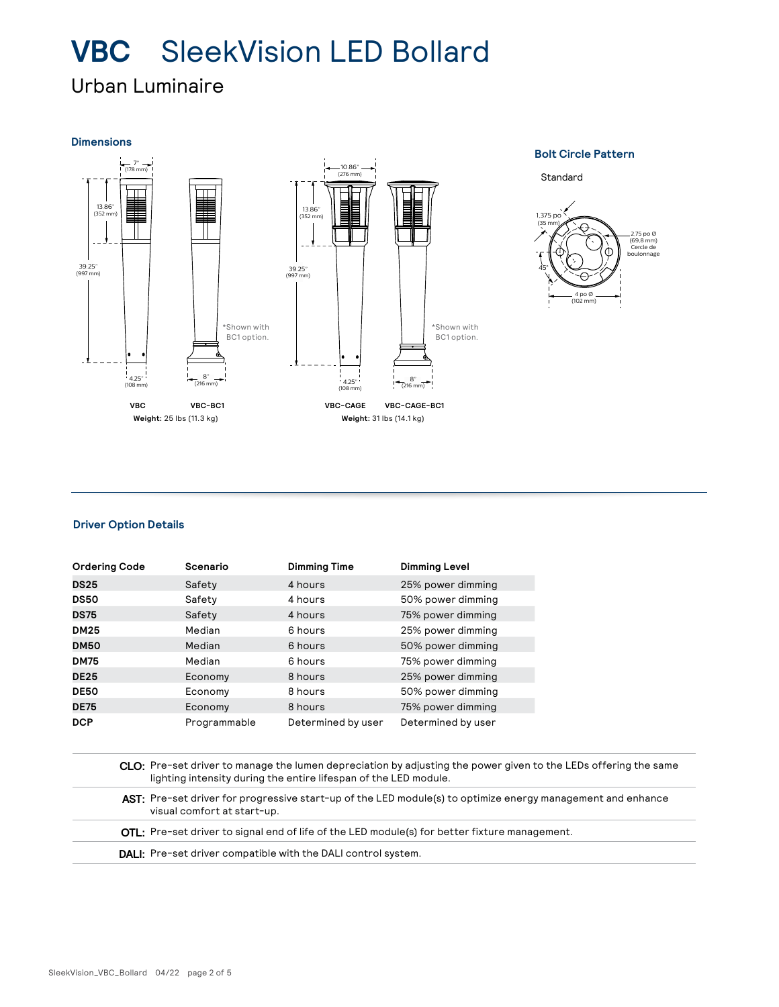### Urban Luminaire

#### **Dimensions**



#### **Bolt Circle Pattern**

Standard



#### **Driver Option Details**

| <b>Ordering Code</b> | Scenario     | <b>Dimming Time</b> | <b>Dimming Level</b> |
|----------------------|--------------|---------------------|----------------------|
| <b>DS25</b>          | Safety       | 4 hours             | 25% power dimming    |
| <b>DS50</b>          | Safety       | 4 hours             | 50% power dimming    |
| <b>DS75</b>          | Safety       | 4 hours             | 75% power dimming    |
| <b>DM25</b>          | Median       | 6 hours             | 25% power dimming    |
| <b>DM50</b>          | Median       | 6 hours             | 50% power dimming    |
| <b>DM75</b>          | Median       | 6 hours             | 75% power dimming    |
| <b>DE25</b>          | Economy      | 8 hours             | 25% power dimming    |
| <b>DE50</b>          | Economy      | 8 hours             | 50% power dimming    |
| <b>DE75</b>          | Economy      | 8 hours             | 75% power dimming    |
| <b>DCP</b>           | Programmable | Determined by user  | Determined by user   |

**CLO:** Pre-set driver to manage the lumen depreciation by adjusting the power given to the LEDs offering the same lighting intensity during the entire lifespan of the LED module.

AST: Pre-set driver for progressive start-up of the LED module(s) to optimize energy management and enhance visual comfort at start-up.

**OTL:** Pre-set driver to signal end of life of the LED module(s) for better fixture management.

**DALI:** Pre-set driver compatible with the DALI control system.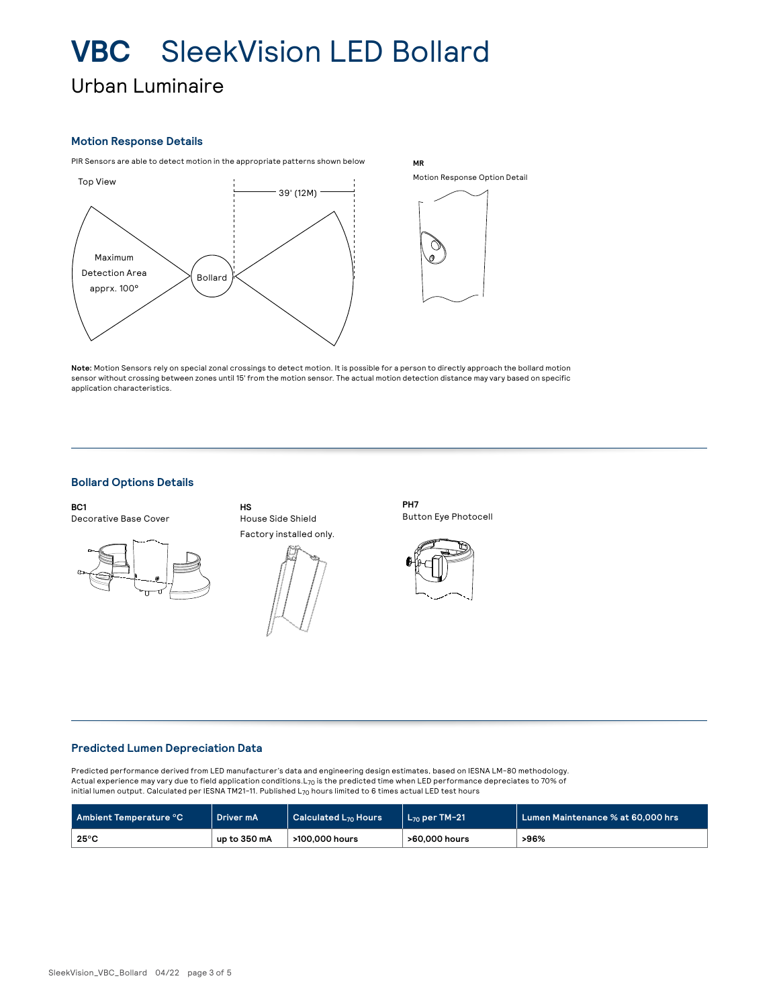Urban Luminaire

#### **Motion Response Details**

PIR Sensors are able to detect motion in the appropriate patterns shown below



Motion Response Option Detail

**MR**

**Note:** Motion Sensors rely on special zonal crossings to detect motion. It is possible for a person to directly approach the bollard motion sensor without crossing between zones until 15' from the motion sensor. The actual motion detection distance may vary based on specific application characteristics.

### **Bollard Options Details**

**BC1** Decorative Base Cover





House Side Shield

**HS**

**PH7** Button Eye Photocell



#### **Predicted Lumen Depreciation Data**

Predicted performance derived from LED manufacturer's data and engineering design estimates, based on IESNA LM-80 methodology. Actual experience may vary due to field application conditions.L<sub>70</sub> is the predicted time when LED performance depreciates to 70% of initial lumen output. Calculated per IESNA TM21-11. Published  $L_{70}$  hours limited to 6 times actual LED test hours

| Ambient Temperature °C | Driver mA    | Calculated L <sub>70</sub> Hours | $\mathsf{L}_{70}$ per TM-21 $^{\circ}$ | Lumen Maintenance % at 60.000 hrs |  |  |
|------------------------|--------------|----------------------------------|----------------------------------------|-----------------------------------|--|--|
| $25^{\circ}$ C         | up to 350 mA | >100,000 hours                   | >60,000 hours                          | >96%                              |  |  |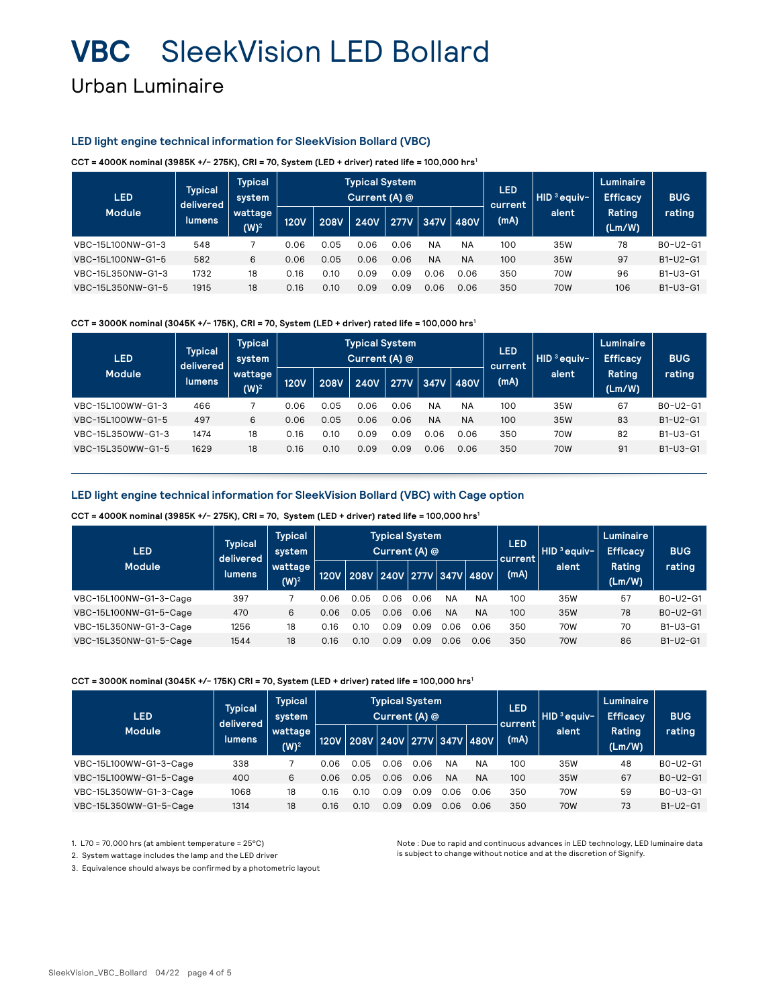### Urban Luminaire

#### **LED light engine technical information for SleekVision Bollard (VBC)**

**CCT = 4000K nominal (3985K +/- 275K), CRI = 70, System (LED + driver) rated life = 100,000 hrs1**

| <b>LED</b>        | <b>Typical</b><br>delivered | <b>Typical</b><br>system |             |             | <b>Typical System</b><br>Current (A) @ |             |           |           | <b>LED</b><br>current | $HID3$ eauiv- | Luminaire<br><b>Efficacy</b> | <b>BUG</b> |
|-------------------|-----------------------------|--------------------------|-------------|-------------|----------------------------------------|-------------|-----------|-----------|-----------------------|---------------|------------------------------|------------|
| <b>Module</b>     | lumens,                     | wattage<br>$(W)^2$       | <b>120V</b> | <b>208V</b> | <b>240V</b>                            | <b>277V</b> | 347V      | 480V      | (mA)                  | alent         | Rating<br>(Lm/W)             | rating     |
| VBC-15L100NW-G1-3 | 548                         |                          | 0.06        | 0.05        | 0.06                                   | 0.06        | <b>NA</b> | <b>NA</b> | 100                   | 35W           | 78                           | B0-U2-G1   |
| VBC-15L100NW-G1-5 | 582                         | 6                        | 0.06        | 0.05        | 0.06                                   | 0.06        | <b>NA</b> | <b>NA</b> | 100                   | 35W           | 97                           | B1-U2-G1   |
| VBC-15L350NW-G1-3 | 1732                        | 18                       | 0.16        | 0.10        | 0.09                                   | 0.09        | 0.06      | 0.06      | 350                   | 70W           | 96                           | B1-U3-G1   |
| VBC-15L350NW-G1-5 | 1915                        | 18                       | 0.16        | 0.10        | 0.09                                   | 0.09        | 0.06      | 0.06      | 350                   | 70W           | 106                          | B1-U3-G1   |

**CCT = 3000K nominal (3045K +/- 175K), CRI = 70, System (LED + driver) rated life = 100,000 hrs1**

| <b>LED</b>        | <b>Typical</b><br>Typical<br>system<br>delivered |                     |             |             | <b>Typical System</b><br>Current (A) @ |             |           |           | <b>LED</b><br>current | $HID3$ eauiv- | Luminaire<br><b>Efficacy</b> | <b>BUG</b> |
|-------------------|--------------------------------------------------|---------------------|-------------|-------------|----------------------------------------|-------------|-----------|-----------|-----------------------|---------------|------------------------------|------------|
| <b>Module</b>     | lumens.                                          | wattage<br>(W) $^2$ | <b>120V</b> | <b>208V</b> | <b>240V</b>                            | <b>277V</b> | 347V      | 480V      | (mA)                  | alent         | Rating<br>(Lm/W)             | rating     |
| VBC-15L100WW-G1-3 | 466                                              |                     | 0.06        | 0.05        | 0.06                                   | 0.06        | <b>NA</b> | <b>NA</b> | 100                   | 35W           | 67                           | B0-U2-G1   |
| VBC-15L100WW-G1-5 | 497                                              | 6                   | 0.06        | 0.05        | 0.06                                   | 0.06        | <b>NA</b> | <b>NA</b> | 100                   | 35W           | 83                           | B1-U2-G1   |
| VBC-15L350WW-G1-3 | 1474                                             | 18                  | 0.16        | 0.10        | 0.09                                   | 0.09        | 0.06      | 0.06      | 350                   | 70W           | 82                           | $B1-U3-G1$ |
| VBC-15L350WW-G1-5 | 1629                                             | 18                  | 0.16        | 0.10        | 0.09                                   | 0.09        | 0.06      | 0.06      | 350                   | 70W           | 91                           | B1-U3-G1   |

#### **LED light engine technical information for SleekVision Bollard (VBC) with Cage option**

**CCT = 4000K nominal (3985K +/- 275K), CRI = 70, System (LED + driver) rated life = 100,000 hrs1**

| <b>LED</b>             | <b>Typical</b><br>delivered | <b>Typical</b><br>system |             |                                  | <b>Typical System</b><br>Current (A) @ |       |           |           | <b>LED</b><br>HID ªeauiv−ı<br>current |            | Luminaire<br><b>Efficacy</b> | <b>BUG</b> |
|------------------------|-----------------------------|--------------------------|-------------|----------------------------------|----------------------------------------|-------|-----------|-----------|---------------------------------------|------------|------------------------------|------------|
| <b>Module</b>          | <b>lumens</b>               | wattage<br>$(W)^2$       | <b>120V</b> | 208V   240V   277V   347V   480V |                                        |       |           |           | (mA)                                  | alent      | Rating<br>(Lm/W)             | rating     |
| VBC-15L100NW-G1-3-Cage | 397                         |                          | 0.06        | 0.05                             | N 06                                   | N N N | <b>NA</b> | <b>NA</b> | 100                                   | 35W        | 57                           | BO-U2-G1   |
| VBC-15L100NW-G1-5-Cage | 470                         | 6                        | 0.06        | 0.05                             | 0 O.G                                  | 0.06  | <b>NA</b> | <b>NA</b> | 100                                   | 35W        | 78                           | BO-U2-G1   |
| VBC-15L350NW-G1-3-Cage | 1256                        | 18                       | 0.16        | N 10                             | ገ በ9                                   |       | 0 O.G     | 0.06      | 350                                   | 70W        | 70                           | B1-U3-G1   |
| VBC-15L350NW-G1-5-Cage | 1544                        | 18                       | 0.16        | 0.10                             | 0.09                                   | 0.09  | 0 O.G     | 0.06      | 350                                   | <b>70W</b> | 86                           | B1-U2-G1   |

#### **CCT = 3000K nominal (3045K +/- 175K) CRI = 70, System (LED + driver) rated life = 100,000 hrs1**

| <b>LED</b>             | <b>Typical</b><br>delivered | <b>Typical</b><br>system |             |                                  | <b>Typical System</b><br>Current (A) @ |      |           |           | LED<br>current | HID <sup>3</sup> eauiv- | Luminaire<br><b>Efficacy</b> | <b>BUG</b> |
|------------------------|-----------------------------|--------------------------|-------------|----------------------------------|----------------------------------------|------|-----------|-----------|----------------|-------------------------|------------------------------|------------|
| <b>Module</b>          | lumens                      | wattage  <br>$(W)^2$     | <b>120V</b> | 208V   240V   277V   347V   480V |                                        |      |           |           | (mA)           | alent                   | Rating<br>(Lm/W)             | rating     |
| VBC-15L100WW-G1-3-Cage | 338                         |                          | 0.06        | 0.05                             | 0 0 6                                  | 0.06 | <b>NA</b> | <b>NA</b> | 100            | 35W                     | 48                           | BO-U2-G1   |
| VBC-15L100WW-G1-5-Cage | 400                         | 6                        | 0.06        | 0.05                             | 0.06                                   | 0.06 | <b>NA</b> | <b>NA</b> | 100            | 35W                     | 67                           | B0-U2-G1   |
| VBC-15L350WW-G1-3-Cage | 1068                        | 18                       | 0.16        | O.1C                             | 0.09                                   | 0.09 | 0.06      | 0.06      | 350            | 70W                     | 59                           | B0-U3-G1   |
| VBC-15L350WW-G1-5-Cage | 1314                        | 18                       | 0.16        | 0.10                             | 0.09                                   | 0.09 | 0.06      | 0.06      | 350            | 70 <sub>W</sub>         | 73                           | $B1-U2-G1$ |

1. L70 = 70,000 hrs (at ambient temperature = 25°C)

2. System wattage includes the lamp and the LED driver

Note : Due to rapid and continuous advances in LED technology, LED luminaire data is subject to change without notice and at the discretion of Signify.

3. Equivalence should always be confirmed by a photometric layout